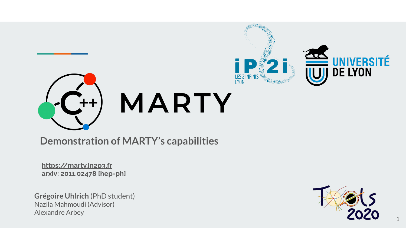

**Demonstration of MARTY's capabilities**

**<https://marty.in2p3.fr> arxiv: 2011.02478 [hep-ph]**

**Grégoire Uhlrich** (PhD student) Nazila Mahmoudi (Advisor) Alexandre Arbey



1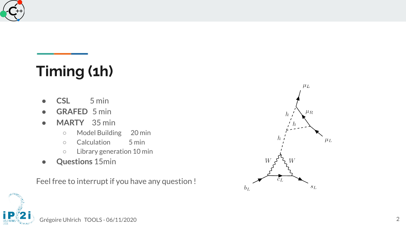

## **Timing (1h)**

- **CSL** 5 min
- **GRAFED** 5 min
- **MARTY** 35 min
	- Model Building 20 min
	- Calculation 5 min
	- Library generation 10 min
- **Questions** 15min

Feel free to interrupt if you have any question !

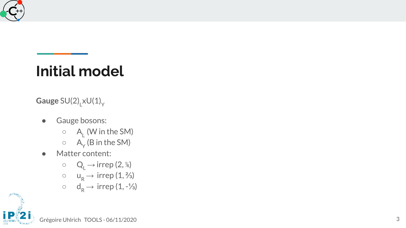

### **Initial model**

 $\mathsf{Gauge}\:\mathsf{SU(2)}_{\mathsf{L}}\mathsf{xU(1)}_{\mathsf{Y}}$ 

- Gauge bosons:
	- $\circ$  A<sub>1</sub> (W in the SM)
	- $\circ$  A<sub>Y</sub> (B in the SM)
- Matter content:
	- $\circ$  Q<sub>L</sub>  $\rightarrow$  irrep (2, %)
	- $\circ \quad u_R \rightarrow \text{irrep}(1, \frac{2}{3})$
	- $\circ$  d<sub>R</sub>  $\rightarrow$  irrep (1, -1/<sub>3</sub>)

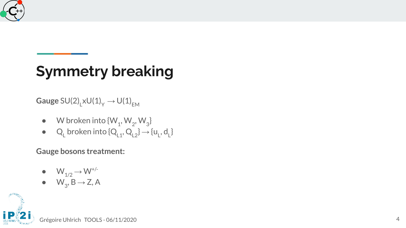

# **Symmetry breaking**

 $\mathsf{Gauge}\:\mathsf{SU(2)}_{\mathsf{L}}\mathsf{xU(1)}_{\mathsf{Y}}\to\mathsf{U(1)}_{\mathsf{EM}}$ 

- $\bullet$  W broken into { $\mathsf{W}_1$ ,  $\mathsf{W}_2$ ,  $\mathsf{W}_3$ }
- Q<sub>L</sub> broken into  $\{Q_{L1}, Q_{L2}\} \rightarrow \{u_L, d_L\}$

**Gauge bosons treatment:**

- $\bullet$   $\mathsf{W}_{1/2} \rightarrow \mathsf{W}^{+/-}$
- $\bullet$   $W_3$ ,  $B \rightarrow Z$ , A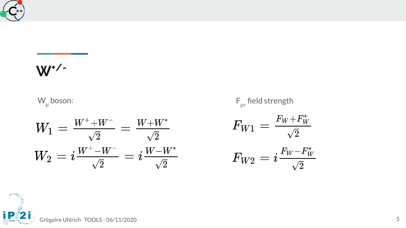

# **W+/-**

W<sub>μ</sub> boson: F<sub>μ</sub>

$$
W_1=\frac{W^++W^-}{\sqrt{2}}=\frac{W+W^*}{\sqrt{2}}\\W_2=i\frac{W^+-W^-}{\sqrt{2}}=i\frac{W-W^*}{\sqrt{2}}
$$

μ $_{\rm \mu\nu}$  field strength

$$
F_{W1}=\tfrac{F_W+F_W^*}{\sqrt{2}}
$$

$$
F_{W2}=i\frac{F_W-F_W^*}{\sqrt{2}}
$$

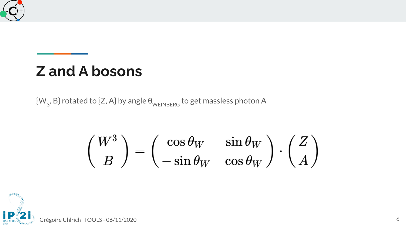

#### **Z and A bosons**

 $\left\{\mathsf{W}_{_{\mathsf{3}}}\text{,}\mathsf{B}\right\}$  rotated to {Z, A} by angle  $\bm{\theta}_{\mathsf{WEINBERG}}$  to get massless photon A

$$
\left(\frac{W^3}{B}\right) = \left(\begin{matrix} \cos\theta_W & \sin\theta_W \\ -\sin\theta_W & \cos\theta_W \end{matrix}\right)\cdot \left(\frac{Z}{A}\right)
$$